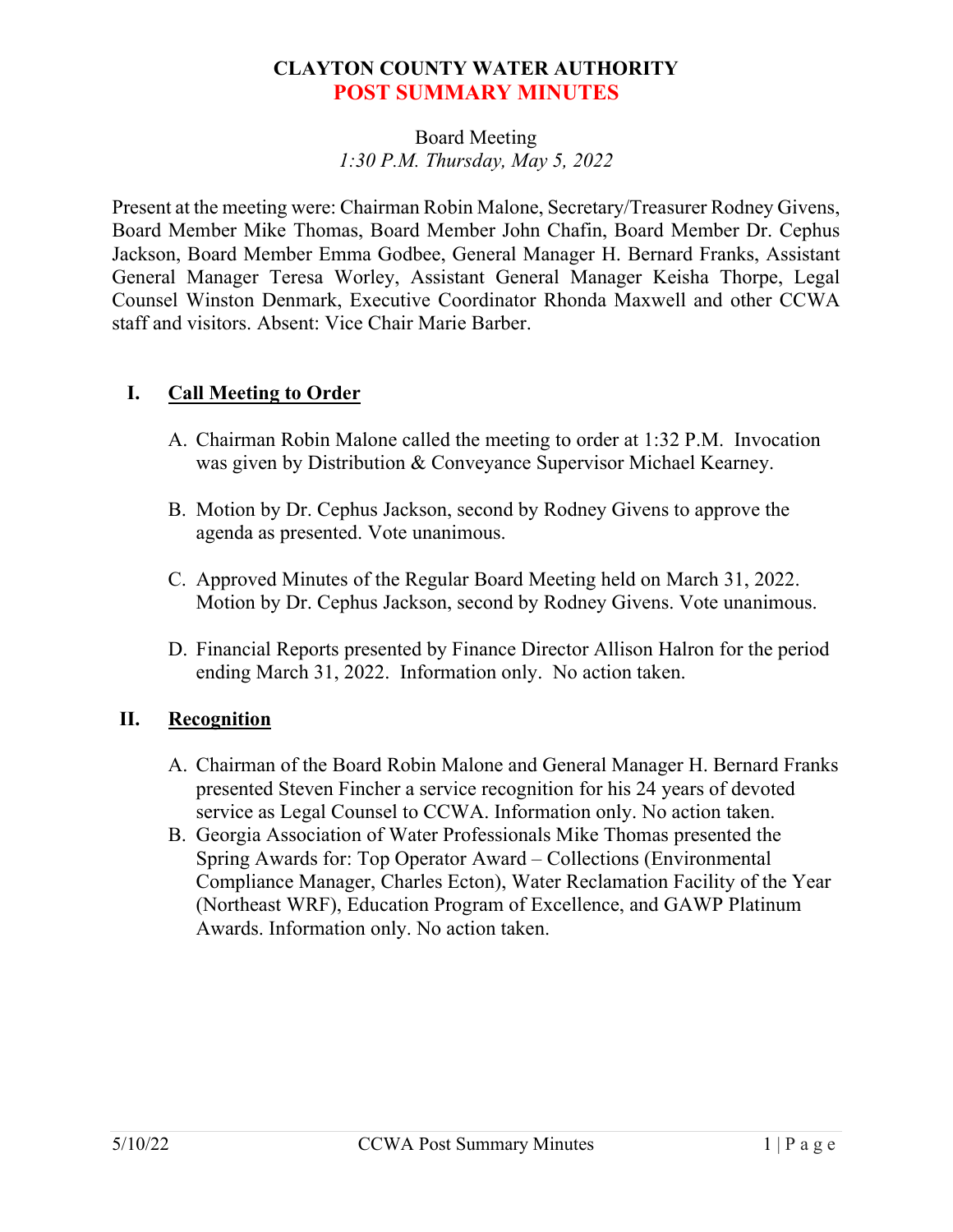# **CLAYTON COUNTY WATER AUTHORITY POST SUMMARY MINUTES**

## Board Meeting *1:30 P.M. Thursday, May 5, 2022*

Present at the meeting were: Chairman Robin Malone, Secretary/Treasurer Rodney Givens, Board Member Mike Thomas, Board Member John Chafin, Board Member Dr. Cephus Jackson, Board Member Emma Godbee, General Manager H. Bernard Franks, Assistant General Manager Teresa Worley, Assistant General Manager Keisha Thorpe, Legal Counsel Winston Denmark, Executive Coordinator Rhonda Maxwell and other CCWA staff and visitors. Absent: Vice Chair Marie Barber.

## **I. Call Meeting to Order**

- A. Chairman Robin Malone called the meeting to order at 1:32 P.M. Invocation was given by Distribution & Conveyance Supervisor Michael Kearney.
- B. Motion by Dr. Cephus Jackson, second by Rodney Givens to approve the agenda as presented. Vote unanimous.
- C. Approved Minutes of the Regular Board Meeting held on March 31, 2022. Motion by Dr. Cephus Jackson, second by Rodney Givens. Vote unanimous.
- D. Financial Reports presented by Finance Director Allison Halron for the period ending March 31, 2022. Information only. No action taken.

## **II. Recognition**

- A. Chairman of the Board Robin Malone and General Manager H. Bernard Franks presented Steven Fincher a service recognition for his 24 years of devoted service as Legal Counsel to CCWA. Information only. No action taken.
- B. Georgia Association of Water Professionals Mike Thomas presented the Spring Awards for: Top Operator Award – Collections (Environmental Compliance Manager, Charles Ecton), Water Reclamation Facility of the Year (Northeast WRF), Education Program of Excellence, and GAWP Platinum Awards. Information only. No action taken.